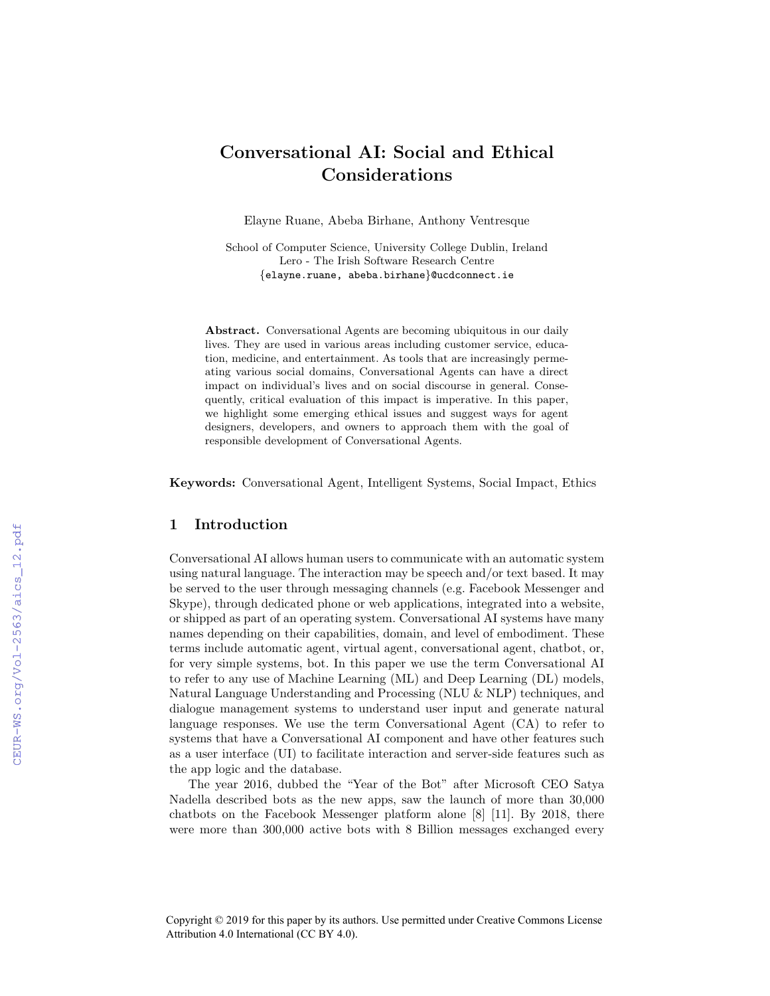# Conversational AI: Social and Ethical Considerations

Elayne Ruane, Abeba Birhane, Anthony Ventresque

School of Computer Science, University College Dublin, Ireland Lero - The Irish Software Research Centre {elayne.ruane, abeba.birhane}@ucdconnect.ie

Abstract. Conversational Agents are becoming ubiquitous in our daily lives. They are used in various areas including customer service, education, medicine, and entertainment. As tools that are increasingly permeating various social domains, Conversational Agents can have a direct impact on individual's lives and on social discourse in general. Consequently, critical evaluation of this impact is imperative. In this paper, we highlight some emerging ethical issues and suggest ways for agent designers, developers, and owners to approach them with the goal of responsible development of Conversational Agents.

Keywords: Conversational Agent, Intelligent Systems, Social Impact, Ethics

# 1 Introduction

Conversational AI allows human users to communicate with an automatic system using natural language. The interaction may be speech and/or text based. It may be served to the user through messaging channels (e.g. Facebook Messenger and Skype), through dedicated phone or web applications, integrated into a website, or shipped as part of an operating system. Conversational AI systems have many names depending on their capabilities, domain, and level of embodiment. These terms include automatic agent, virtual agent, conversational agent, chatbot, or, for very simple systems, bot. In this paper we use the term Conversational AI to refer to any use of Machine Learning (ML) and Deep Learning (DL) models, Natural Language Understanding and Processing (NLU & NLP) techniques, and dialogue management systems to understand user input and generate natural language responses. We use the term Conversational Agent (CA) to refer to systems that have a Conversational AI component and have other features such as a user interface (UI) to facilitate interaction and server-side features such as the app logic and the database.

The year 2016, dubbed the "Year of the Bot" after Microsoft CEO Satya Nadella described bots as the new apps, saw the launch of more than 30,000 chatbots on the Facebook Messenger platform alone [8] [11]. By 2018, there were more than 300,000 active bots with 8 Billion messages exchanged every

Copyright © 2019 for this paper by its authors. Use permitted under Creative Commons License Attribution 4.0 International (CC BY 4.0).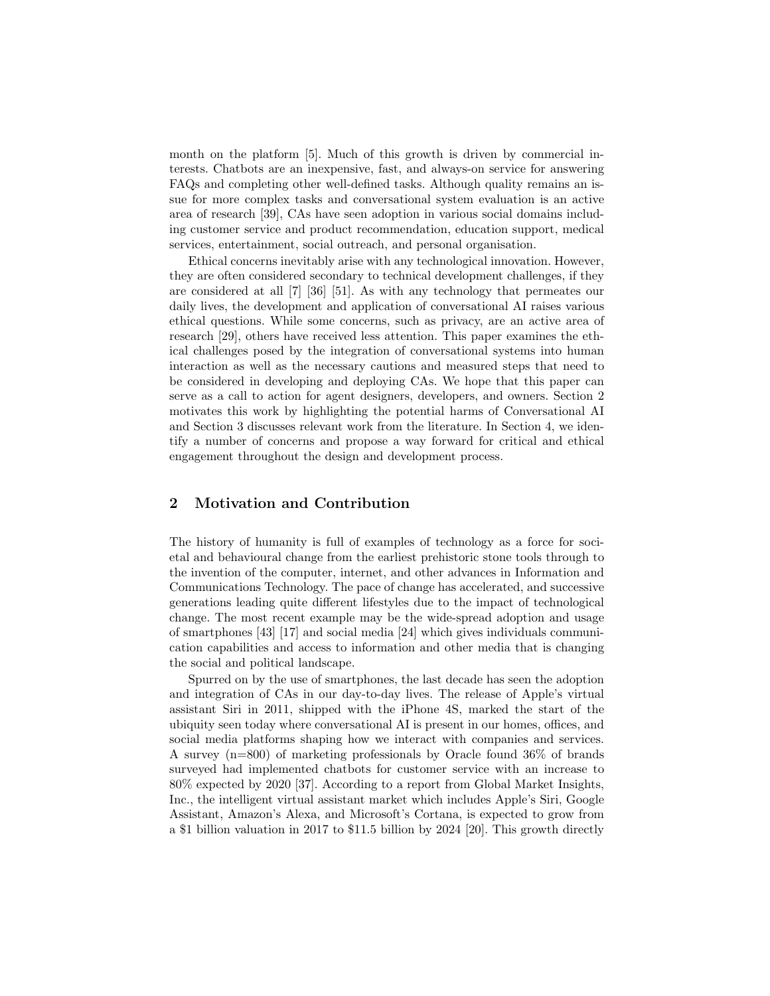month on the platform [5]. Much of this growth is driven by commercial interests. Chatbots are an inexpensive, fast, and always-on service for answering FAQs and completing other well-defined tasks. Although quality remains an issue for more complex tasks and conversational system evaluation is an active area of research [39], CAs have seen adoption in various social domains including customer service and product recommendation, education support, medical services, entertainment, social outreach, and personal organisation.

Ethical concerns inevitably arise with any technological innovation. However, they are often considered secondary to technical development challenges, if they are considered at all [7] [36] [51]. As with any technology that permeates our daily lives, the development and application of conversational AI raises various ethical questions. While some concerns, such as privacy, are an active area of research [29], others have received less attention. This paper examines the ethical challenges posed by the integration of conversational systems into human interaction as well as the necessary cautions and measured steps that need to be considered in developing and deploying CAs. We hope that this paper can serve as a call to action for agent designers, developers, and owners. Section 2 motivates this work by highlighting the potential harms of Conversational AI and Section 3 discusses relevant work from the literature. In Section 4, we identify a number of concerns and propose a way forward for critical and ethical engagement throughout the design and development process.

# 2 Motivation and Contribution

The history of humanity is full of examples of technology as a force for societal and behavioural change from the earliest prehistoric stone tools through to the invention of the computer, internet, and other advances in Information and Communications Technology. The pace of change has accelerated, and successive generations leading quite different lifestyles due to the impact of technological change. The most recent example may be the wide-spread adoption and usage of smartphones [43] [17] and social media [24] which gives individuals communication capabilities and access to information and other media that is changing the social and political landscape.

Spurred on by the use of smartphones, the last decade has seen the adoption and integration of CAs in our day-to-day lives. The release of Apple's virtual assistant Siri in 2011, shipped with the iPhone 4S, marked the start of the ubiquity seen today where conversational AI is present in our homes, offices, and social media platforms shaping how we interact with companies and services. A survey (n=800) of marketing professionals by Oracle found 36% of brands surveyed had implemented chatbots for customer service with an increase to 80% expected by 2020 [37]. According to a report from Global Market Insights, Inc., the intelligent virtual assistant market which includes Apple's Siri, Google Assistant, Amazon's Alexa, and Microsoft's Cortana, is expected to grow from a \$1 billion valuation in 2017 to \$11.5 billion by 2024 [20]. This growth directly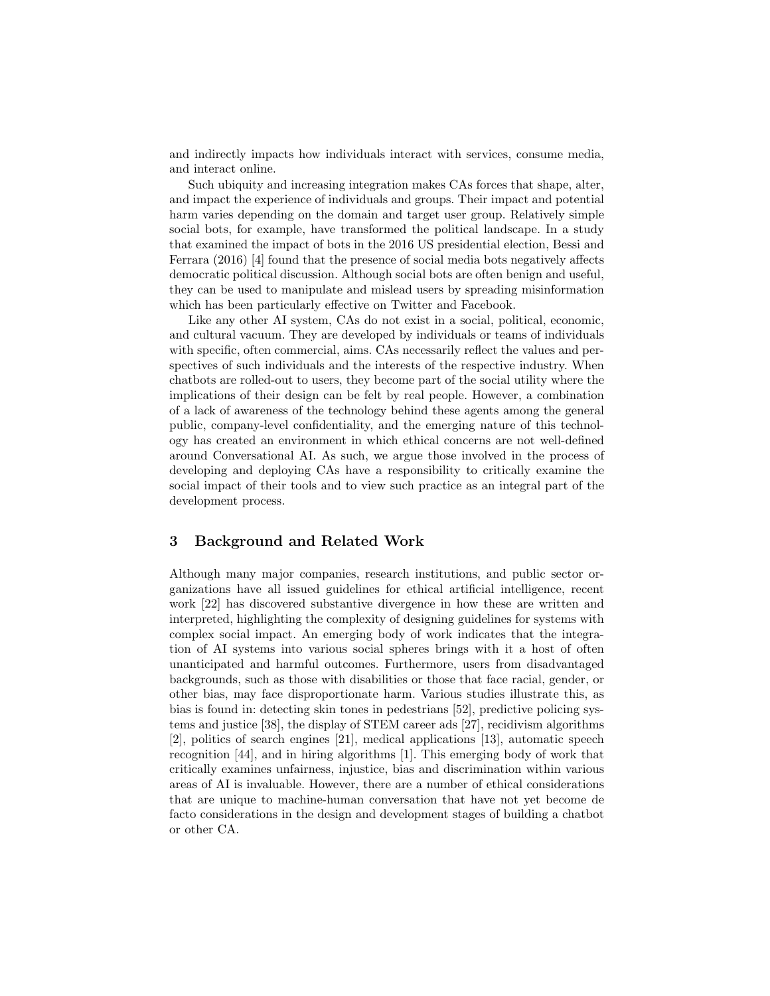and indirectly impacts how individuals interact with services, consume media, and interact online.

Such ubiquity and increasing integration makes CAs forces that shape, alter, and impact the experience of individuals and groups. Their impact and potential harm varies depending on the domain and target user group. Relatively simple social bots, for example, have transformed the political landscape. In a study that examined the impact of bots in the 2016 US presidential election, Bessi and Ferrara (2016) [4] found that the presence of social media bots negatively affects democratic political discussion. Although social bots are often benign and useful, they can be used to manipulate and mislead users by spreading misinformation which has been particularly effective on Twitter and Facebook.

Like any other AI system, CAs do not exist in a social, political, economic, and cultural vacuum. They are developed by individuals or teams of individuals with specific, often commercial, aims. CAs necessarily reflect the values and perspectives of such individuals and the interests of the respective industry. When chatbots are rolled-out to users, they become part of the social utility where the implications of their design can be felt by real people. However, a combination of a lack of awareness of the technology behind these agents among the general public, company-level confidentiality, and the emerging nature of this technology has created an environment in which ethical concerns are not well-defined around Conversational AI. As such, we argue those involved in the process of developing and deploying CAs have a responsibility to critically examine the social impact of their tools and to view such practice as an integral part of the development process.

## 3 Background and Related Work

Although many major companies, research institutions, and public sector organizations have all issued guidelines for ethical artificial intelligence, recent work [22] has discovered substantive divergence in how these are written and interpreted, highlighting the complexity of designing guidelines for systems with complex social impact. An emerging body of work indicates that the integration of AI systems into various social spheres brings with it a host of often unanticipated and harmful outcomes. Furthermore, users from disadvantaged backgrounds, such as those with disabilities or those that face racial, gender, or other bias, may face disproportionate harm. Various studies illustrate this, as bias is found in: detecting skin tones in pedestrians [52], predictive policing systems and justice [38], the display of STEM career ads [27], recidivism algorithms [2], politics of search engines [21], medical applications [13], automatic speech recognition [44], and in hiring algorithms [1]. This emerging body of work that critically examines unfairness, injustice, bias and discrimination within various areas of AI is invaluable. However, there are a number of ethical considerations that are unique to machine-human conversation that have not yet become de facto considerations in the design and development stages of building a chatbot or other CA.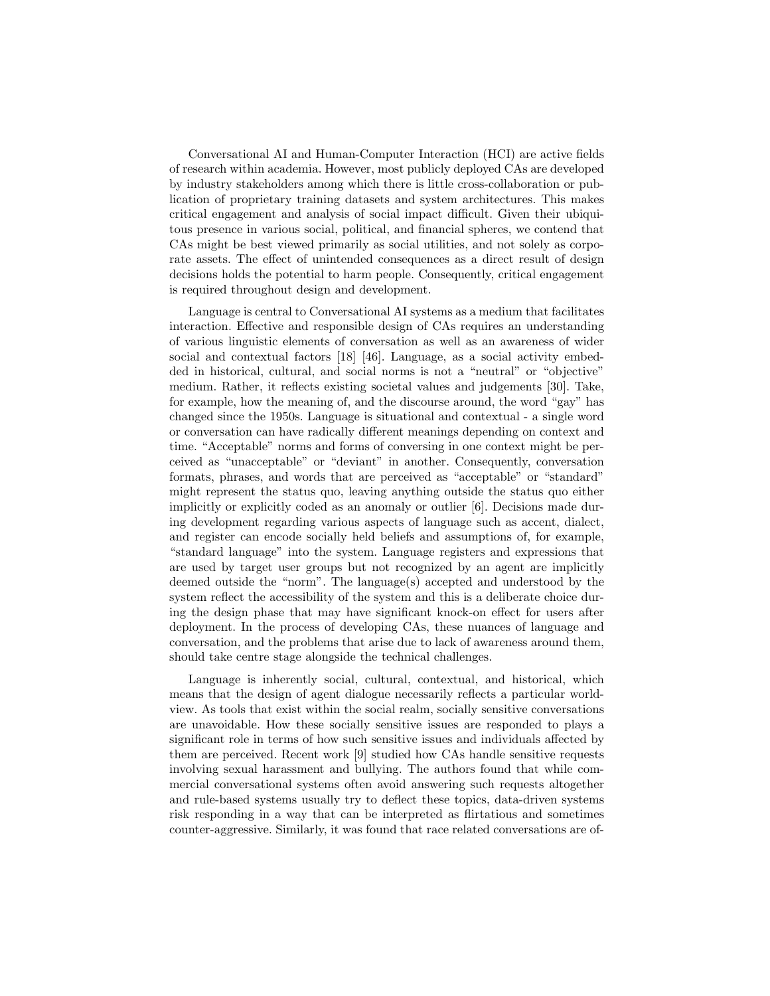Conversational AI and Human-Computer Interaction (HCI) are active fields of research within academia. However, most publicly deployed CAs are developed by industry stakeholders among which there is little cross-collaboration or publication of proprietary training datasets and system architectures. This makes critical engagement and analysis of social impact difficult. Given their ubiquitous presence in various social, political, and financial spheres, we contend that CAs might be best viewed primarily as social utilities, and not solely as corporate assets. The effect of unintended consequences as a direct result of design decisions holds the potential to harm people. Consequently, critical engagement is required throughout design and development.

Language is central to Conversational AI systems as a medium that facilitates interaction. Effective and responsible design of CAs requires an understanding of various linguistic elements of conversation as well as an awareness of wider social and contextual factors [18] [46]. Language, as a social activity embedded in historical, cultural, and social norms is not a "neutral" or "objective" medium. Rather, it reflects existing societal values and judgements [30]. Take, for example, how the meaning of, and the discourse around, the word "gay" has changed since the 1950s. Language is situational and contextual - a single word or conversation can have radically different meanings depending on context and time. "Acceptable" norms and forms of conversing in one context might be perceived as "unacceptable" or "deviant" in another. Consequently, conversation formats, phrases, and words that are perceived as "acceptable" or "standard" might represent the status quo, leaving anything outside the status quo either implicitly or explicitly coded as an anomaly or outlier [6]. Decisions made during development regarding various aspects of language such as accent, dialect, and register can encode socially held beliefs and assumptions of, for example, "standard language" into the system. Language registers and expressions that are used by target user groups but not recognized by an agent are implicitly deemed outside the "norm". The language(s) accepted and understood by the system reflect the accessibility of the system and this is a deliberate choice during the design phase that may have significant knock-on effect for users after deployment. In the process of developing CAs, these nuances of language and conversation, and the problems that arise due to lack of awareness around them, should take centre stage alongside the technical challenges.

Language is inherently social, cultural, contextual, and historical, which means that the design of agent dialogue necessarily reflects a particular worldview. As tools that exist within the social realm, socially sensitive conversations are unavoidable. How these socially sensitive issues are responded to plays a significant role in terms of how such sensitive issues and individuals affected by them are perceived. Recent work [9] studied how CAs handle sensitive requests involving sexual harassment and bullying. The authors found that while commercial conversational systems often avoid answering such requests altogether and rule-based systems usually try to deflect these topics, data-driven systems risk responding in a way that can be interpreted as flirtatious and sometimes counter-aggressive. Similarly, it was found that race related conversations are of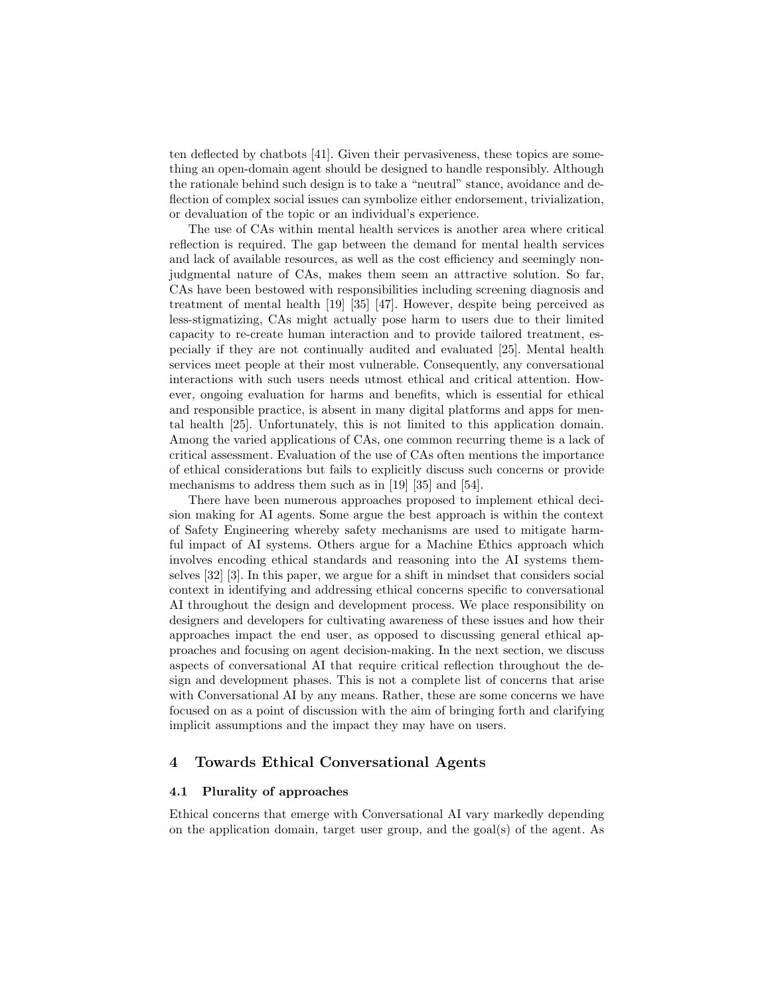ten deflected by chatbots [41]. Given their pervasiveness, these topics are something an open-domain agent should be designed to handle responsibly. Although the rationale behind such design is to take a "neutral" stance, avoidance and deflection of complex social issues can symbolize either endorsement, trivialization, or devaluation of the topic or an individual's experience.

The use of CAs within mental health services is another area where critical reflection is required. The gap between the demand for mental health services and lack of available resources, as well as the cost efficiency and seemingly nonjudgmental nature of CAs, makes them seem an attractive solution. So far, CAs have been bestowed with responsibilities including screening diagnosis and treatment of mental health [19] [35] [47]. However, despite being perceived as less-stigmatizing, CAs might actually pose harm to users due to their limited capacity to re-create human interaction and to provide tailored treatment, especially if they are not continually audited and evaluated [25]. Mental health services meet people at their most vulnerable. Consequently, any conversational interactions with such users needs utmost ethical and critical attention. However, ongoing evaluation for harms and benefits, which is essential for ethical and responsible practice, is absent in many digital platforms and apps for mental health [25]. Unfortunately, this is not limited to this application domain. Among the varied applications of CAs, one common recurring theme is a lack of critical assessment. Evaluation of the use of CAs often mentions the importance of ethical considerations but fails to explicitly discuss such concerns or provide mechanisms to address them such as in [19] [35] and [54].

There have been numerous approaches proposed to implement ethical decision making for AI agents. Some argue the best approach is within the context of Safety Engineering whereby safety mechanisms are used to mitigate harmful impact of AI systems. Others argue for a Machine Ethics approach which involves encoding ethical standards and reasoning into the AI systems themselves [32] [3]. In this paper, we argue for a shift in mindset that considers social context in identifying and addressing ethical concerns specific to conversational AI throughout the design and development process. We place responsibility on designers and developers for cultivating awareness of these issues and how their approaches impact the end user, as opposed to discussing general ethical approaches and focusing on agent decision-making. In the next section, we discuss aspects of conversational AI that require critical reflection throughout the design and development phases. This is not a complete list of concerns that arise with Conversational AI by any means. Rather, these are some concerns we have focused on as a point of discussion with the aim of bringing forth and clarifying implicit assumptions and the impact they may have on users.

## 4 Towards Ethical Conversational Agents

#### 4.1 Plurality of approaches

Ethical concerns that emerge with Conversational AI vary markedly depending on the application domain, target user group, and the goal(s) of the agent. As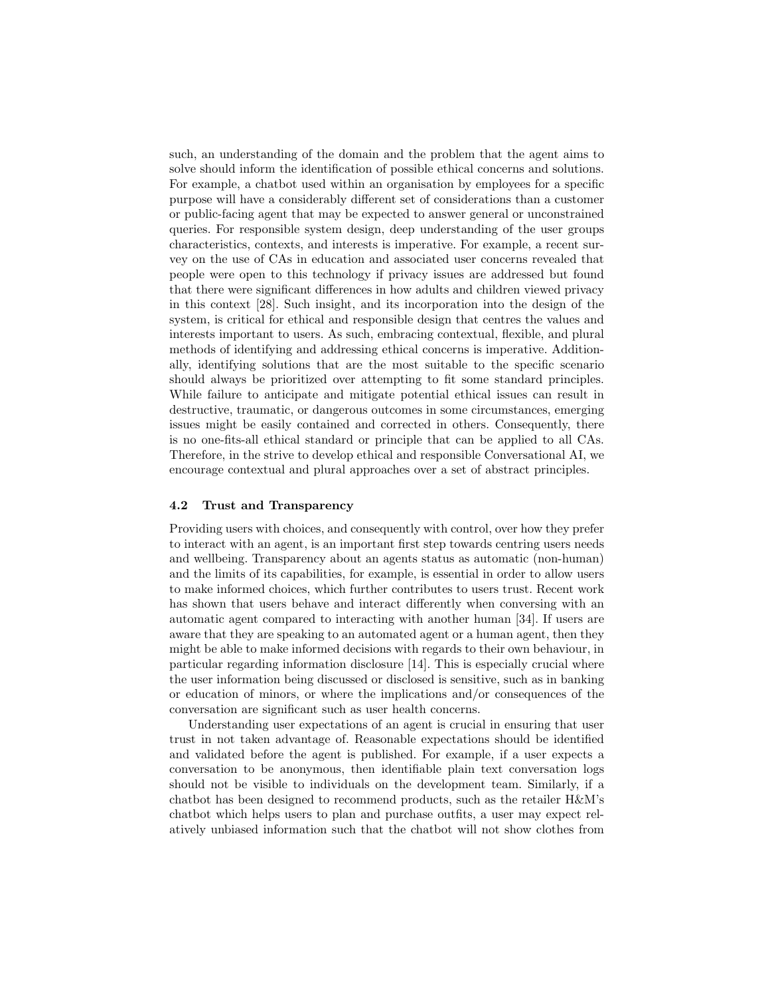such, an understanding of the domain and the problem that the agent aims to solve should inform the identification of possible ethical concerns and solutions. For example, a chatbot used within an organisation by employees for a specific purpose will have a considerably different set of considerations than a customer or public-facing agent that may be expected to answer general or unconstrained queries. For responsible system design, deep understanding of the user groups characteristics, contexts, and interests is imperative. For example, a recent survey on the use of CAs in education and associated user concerns revealed that people were open to this technology if privacy issues are addressed but found that there were significant differences in how adults and children viewed privacy in this context [28]. Such insight, and its incorporation into the design of the system, is critical for ethical and responsible design that centres the values and interests important to users. As such, embracing contextual, flexible, and plural methods of identifying and addressing ethical concerns is imperative. Additionally, identifying solutions that are the most suitable to the specific scenario should always be prioritized over attempting to fit some standard principles. While failure to anticipate and mitigate potential ethical issues can result in destructive, traumatic, or dangerous outcomes in some circumstances, emerging issues might be easily contained and corrected in others. Consequently, there is no one-fits-all ethical standard or principle that can be applied to all CAs. Therefore, in the strive to develop ethical and responsible Conversational AI, we encourage contextual and plural approaches over a set of abstract principles.

#### 4.2 Trust and Transparency

Providing users with choices, and consequently with control, over how they prefer to interact with an agent, is an important first step towards centring users needs and wellbeing. Transparency about an agents status as automatic (non-human) and the limits of its capabilities, for example, is essential in order to allow users to make informed choices, which further contributes to users trust. Recent work has shown that users behave and interact differently when conversing with an automatic agent compared to interacting with another human [34]. If users are aware that they are speaking to an automated agent or a human agent, then they might be able to make informed decisions with regards to their own behaviour, in particular regarding information disclosure [14]. This is especially crucial where the user information being discussed or disclosed is sensitive, such as in banking or education of minors, or where the implications and/or consequences of the conversation are significant such as user health concerns.

Understanding user expectations of an agent is crucial in ensuring that user trust in not taken advantage of. Reasonable expectations should be identified and validated before the agent is published. For example, if a user expects a conversation to be anonymous, then identifiable plain text conversation logs should not be visible to individuals on the development team. Similarly, if a chatbot has been designed to recommend products, such as the retailer H&M's chatbot which helps users to plan and purchase outfits, a user may expect relatively unbiased information such that the chatbot will not show clothes from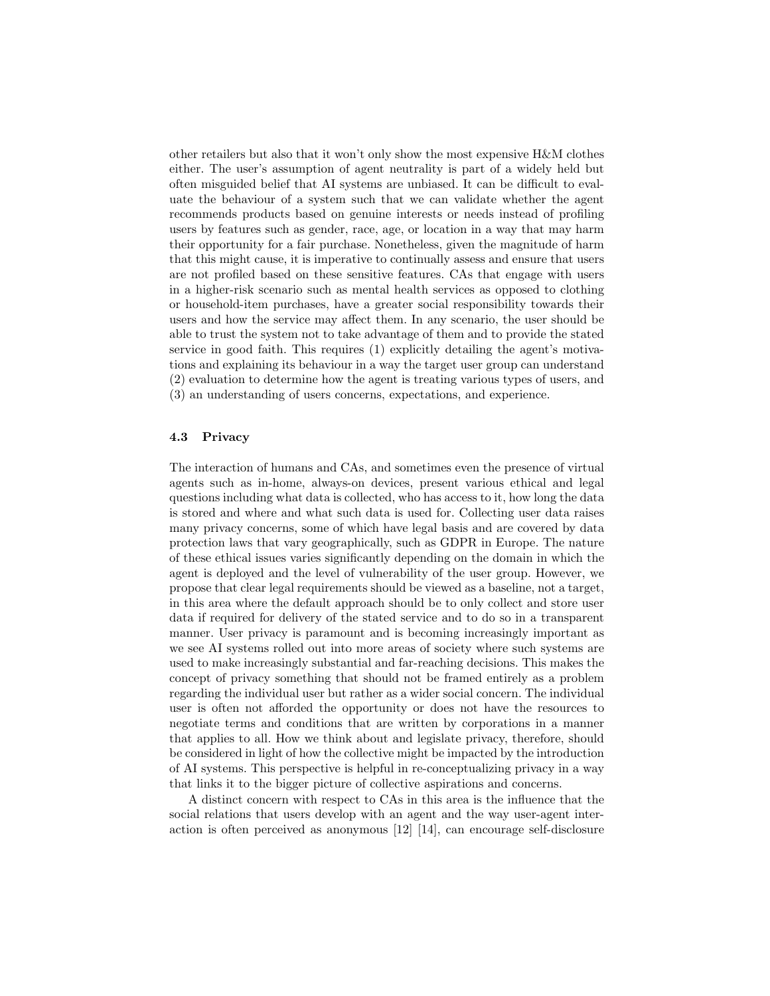other retailers but also that it won't only show the most expensive H&M clothes either. The user's assumption of agent neutrality is part of a widely held but often misguided belief that AI systems are unbiased. It can be difficult to evaluate the behaviour of a system such that we can validate whether the agent recommends products based on genuine interests or needs instead of profiling users by features such as gender, race, age, or location in a way that may harm their opportunity for a fair purchase. Nonetheless, given the magnitude of harm that this might cause, it is imperative to continually assess and ensure that users are not profiled based on these sensitive features. CAs that engage with users in a higher-risk scenario such as mental health services as opposed to clothing or household-item purchases, have a greater social responsibility towards their users and how the service may affect them. In any scenario, the user should be able to trust the system not to take advantage of them and to provide the stated service in good faith. This requires (1) explicitly detailing the agent's motivations and explaining its behaviour in a way the target user group can understand (2) evaluation to determine how the agent is treating various types of users, and (3) an understanding of users concerns, expectations, and experience.

#### 4.3 Privacy

The interaction of humans and CAs, and sometimes even the presence of virtual agents such as in-home, always-on devices, present various ethical and legal questions including what data is collected, who has access to it, how long the data is stored and where and what such data is used for. Collecting user data raises many privacy concerns, some of which have legal basis and are covered by data protection laws that vary geographically, such as GDPR in Europe. The nature of these ethical issues varies significantly depending on the domain in which the agent is deployed and the level of vulnerability of the user group. However, we propose that clear legal requirements should be viewed as a baseline, not a target, in this area where the default approach should be to only collect and store user data if required for delivery of the stated service and to do so in a transparent manner. User privacy is paramount and is becoming increasingly important as we see AI systems rolled out into more areas of society where such systems are used to make increasingly substantial and far-reaching decisions. This makes the concept of privacy something that should not be framed entirely as a problem regarding the individual user but rather as a wider social concern. The individual user is often not afforded the opportunity or does not have the resources to negotiate terms and conditions that are written by corporations in a manner that applies to all. How we think about and legislate privacy, therefore, should be considered in light of how the collective might be impacted by the introduction of AI systems. This perspective is helpful in re-conceptualizing privacy in a way that links it to the bigger picture of collective aspirations and concerns.

A distinct concern with respect to CAs in this area is the influence that the social relations that users develop with an agent and the way user-agent interaction is often perceived as anonymous [12] [14], can encourage self-disclosure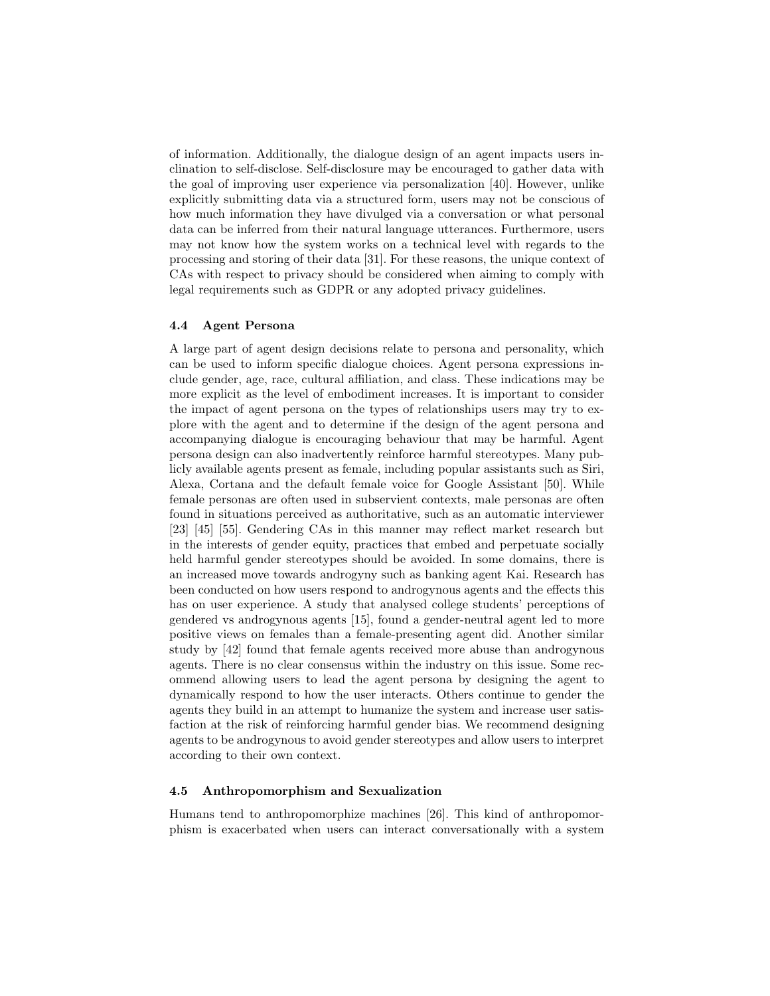of information. Additionally, the dialogue design of an agent impacts users inclination to self-disclose. Self-disclosure may be encouraged to gather data with the goal of improving user experience via personalization [40]. However, unlike explicitly submitting data via a structured form, users may not be conscious of how much information they have divulged via a conversation or what personal data can be inferred from their natural language utterances. Furthermore, users may not know how the system works on a technical level with regards to the processing and storing of their data [31]. For these reasons, the unique context of CAs with respect to privacy should be considered when aiming to comply with legal requirements such as GDPR or any adopted privacy guidelines.

## 4.4 Agent Persona

A large part of agent design decisions relate to persona and personality, which can be used to inform specific dialogue choices. Agent persona expressions include gender, age, race, cultural affiliation, and class. These indications may be more explicit as the level of embodiment increases. It is important to consider the impact of agent persona on the types of relationships users may try to explore with the agent and to determine if the design of the agent persona and accompanying dialogue is encouraging behaviour that may be harmful. Agent persona design can also inadvertently reinforce harmful stereotypes. Many publicly available agents present as female, including popular assistants such as Siri, Alexa, Cortana and the default female voice for Google Assistant [50]. While female personas are often used in subservient contexts, male personas are often found in situations perceived as authoritative, such as an automatic interviewer [23] [45] [55]. Gendering CAs in this manner may reflect market research but in the interests of gender equity, practices that embed and perpetuate socially held harmful gender stereotypes should be avoided. In some domains, there is an increased move towards androgyny such as banking agent Kai. Research has been conducted on how users respond to androgynous agents and the effects this has on user experience. A study that analysed college students' perceptions of gendered vs androgynous agents [15], found a gender-neutral agent led to more positive views on females than a female-presenting agent did. Another similar study by [42] found that female agents received more abuse than androgynous agents. There is no clear consensus within the industry on this issue. Some recommend allowing users to lead the agent persona by designing the agent to dynamically respond to how the user interacts. Others continue to gender the agents they build in an attempt to humanize the system and increase user satisfaction at the risk of reinforcing harmful gender bias. We recommend designing agents to be androgynous to avoid gender stereotypes and allow users to interpret according to their own context.

#### 4.5 Anthropomorphism and Sexualization

Humans tend to anthropomorphize machines [26]. This kind of anthropomorphism is exacerbated when users can interact conversationally with a system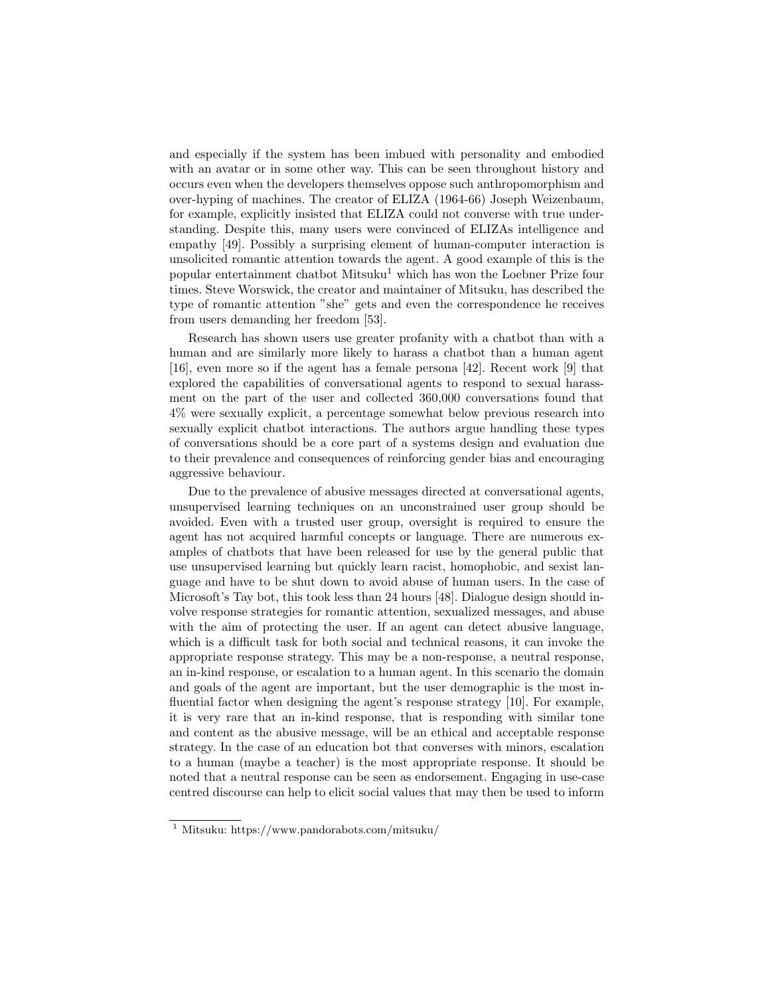and especially if the system has been imbued with personality and embodied with an avatar or in some other way. This can be seen throughout history and occurs even when the developers themselves oppose such anthropomorphism and over-hyping of machines. The creator of ELIZA (1964-66) Joseph Weizenbaum, for example, explicitly insisted that ELIZA could not converse with true understanding. Despite this, many users were convinced of ELIZAs intelligence and empathy [49]. Possibly a surprising element of human-computer interaction is unsolicited romantic attention towards the agent. A good example of this is the popular entertainment chatbot  $M$ itsuku<sup>1</sup> which has won the Loebner Prize four times. Steve Worswick, the creator and maintainer of Mitsuku, has described the type of romantic attention "she" gets and even the correspondence he receives from users demanding her freedom [53].

Research has shown users use greater profanity with a chatbot than with a human and are similarly more likely to harass a chatbot than a human agent [16], even more so if the agent has a female persona [42]. Recent work [9] that explored the capabilities of conversational agents to respond to sexual harassment on the part of the user and collected 360,000 conversations found that 4% were sexually explicit, a percentage somewhat below previous research into sexually explicit chatbot interactions. The authors argue handling these types of conversations should be a core part of a systems design and evaluation due to their prevalence and consequences of reinforcing gender bias and encouraging aggressive behaviour.

Due to the prevalence of abusive messages directed at conversational agents, unsupervised learning techniques on an unconstrained user group should be avoided. Even with a trusted user group, oversight is required to ensure the agent has not acquired harmful concepts or language. There are numerous examples of chatbots that have been released for use by the general public that use unsupervised learning but quickly learn racist, homophobic, and sexist language and have to be shut down to avoid abuse of human users. In the case of Microsoft's Tay bot, this took less than 24 hours [48]. Dialogue design should involve response strategies for romantic attention, sexualized messages, and abuse with the aim of protecting the user. If an agent can detect abusive language, which is a difficult task for both social and technical reasons, it can invoke the appropriate response strategy. This may be a non-response, a neutral response, an in-kind response, or escalation to a human agent. In this scenario the domain and goals of the agent are important, but the user demographic is the most influential factor when designing the agent's response strategy [10]. For example, it is very rare that an in-kind response, that is responding with similar tone and content as the abusive message, will be an ethical and acceptable response strategy. In the case of an education bot that converses with minors, escalation to a human (maybe a teacher) is the most appropriate response. It should be noted that a neutral response can be seen as endorsement. Engaging in use-case centred discourse can help to elicit social values that may then be used to inform

<sup>1</sup> Mitsuku: https://www.pandorabots.com/mitsuku/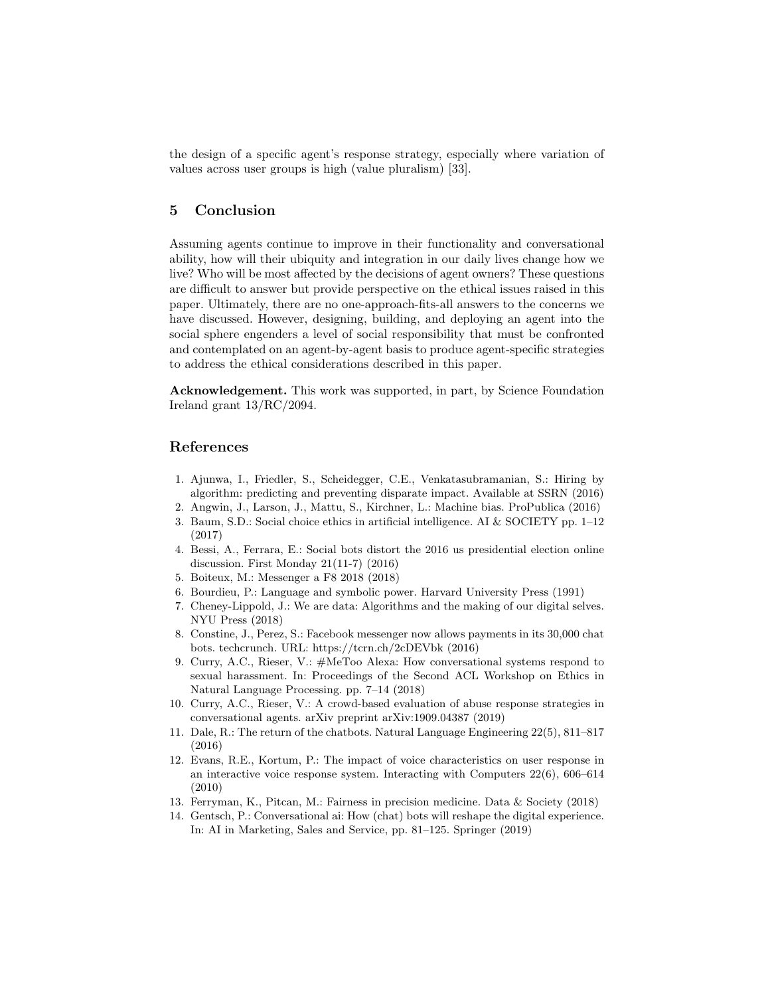the design of a specific agent's response strategy, especially where variation of values across user groups is high (value pluralism) [33].

# 5 Conclusion

Assuming agents continue to improve in their functionality and conversational ability, how will their ubiquity and integration in our daily lives change how we live? Who will be most affected by the decisions of agent owners? These questions are difficult to answer but provide perspective on the ethical issues raised in this paper. Ultimately, there are no one-approach-fits-all answers to the concerns we have discussed. However, designing, building, and deploying an agent into the social sphere engenders a level of social responsibility that must be confronted and contemplated on an agent-by-agent basis to produce agent-specific strategies to address the ethical considerations described in this paper.

Acknowledgement. This work was supported, in part, by Science Foundation Ireland grant 13/RC/2094.

### References

- 1. Ajunwa, I., Friedler, S., Scheidegger, C.E., Venkatasubramanian, S.: Hiring by algorithm: predicting and preventing disparate impact. Available at SSRN (2016)
- 2. Angwin, J., Larson, J., Mattu, S., Kirchner, L.: Machine bias. ProPublica (2016)
- 3. Baum, S.D.: Social choice ethics in artificial intelligence. AI & SOCIETY pp. 1–12 (2017)
- 4. Bessi, A., Ferrara, E.: Social bots distort the 2016 us presidential election online discussion. First Monday 21(11-7) (2016)
- 5. Boiteux, M.: Messenger a F8 2018 (2018)
- 6. Bourdieu, P.: Language and symbolic power. Harvard University Press (1991)
- 7. Cheney-Lippold, J.: We are data: Algorithms and the making of our digital selves. NYU Press (2018)
- 8. Constine, J., Perez, S.: Facebook messenger now allows payments in its 30,000 chat bots. techcrunch. URL: https://tcrn.ch/2cDEVbk (2016)
- 9. Curry, A.C., Rieser, V.: #MeToo Alexa: How conversational systems respond to sexual harassment. In: Proceedings of the Second ACL Workshop on Ethics in Natural Language Processing. pp. 7–14 (2018)
- 10. Curry, A.C., Rieser, V.: A crowd-based evaluation of abuse response strategies in conversational agents. arXiv preprint arXiv:1909.04387 (2019)
- 11. Dale, R.: The return of the chatbots. Natural Language Engineering 22(5), 811–817 (2016)
- 12. Evans, R.E., Kortum, P.: The impact of voice characteristics on user response in an interactive voice response system. Interacting with Computers 22(6), 606–614 (2010)
- 13. Ferryman, K., Pitcan, M.: Fairness in precision medicine. Data & Society (2018)
- 14. Gentsch, P.: Conversational ai: How (chat) bots will reshape the digital experience. In: AI in Marketing, Sales and Service, pp. 81–125. Springer (2019)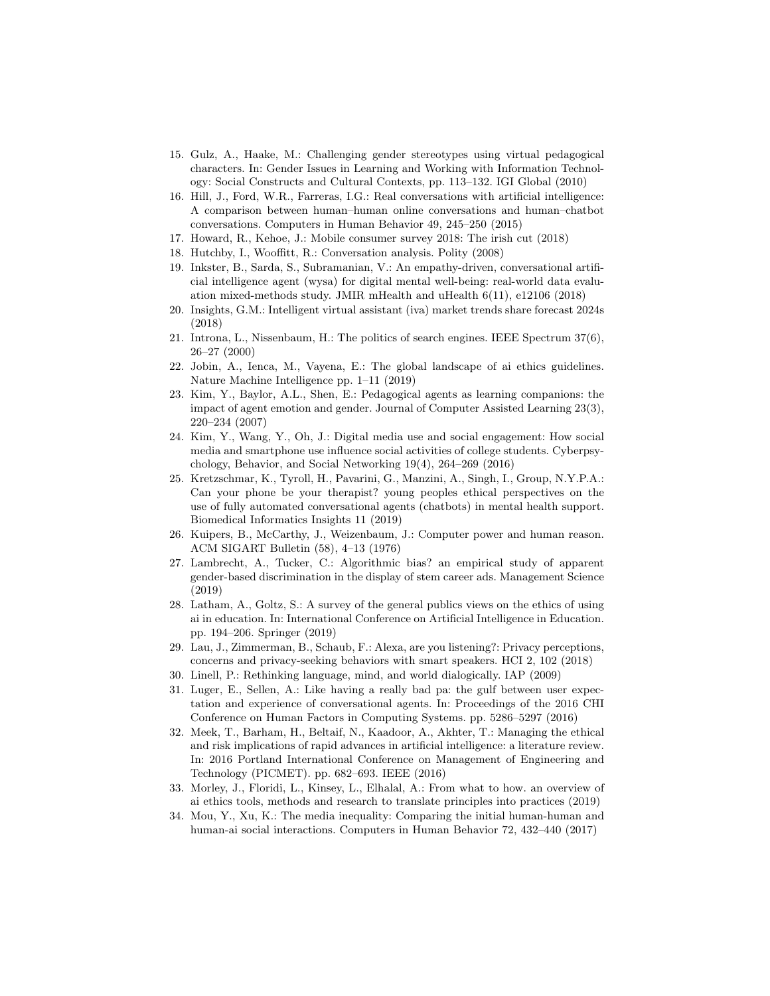- 15. Gulz, A., Haake, M.: Challenging gender stereotypes using virtual pedagogical characters. In: Gender Issues in Learning and Working with Information Technology: Social Constructs and Cultural Contexts, pp. 113–132. IGI Global (2010)
- 16. Hill, J., Ford, W.R., Farreras, I.G.: Real conversations with artificial intelligence: A comparison between human–human online conversations and human–chatbot conversations. Computers in Human Behavior 49, 245–250 (2015)
- 17. Howard, R., Kehoe, J.: Mobile consumer survey 2018: The irish cut (2018)
- 18. Hutchby, I., Wooffitt, R.: Conversation analysis. Polity (2008)
- 19. Inkster, B., Sarda, S., Subramanian, V.: An empathy-driven, conversational artificial intelligence agent (wysa) for digital mental well-being: real-world data evaluation mixed-methods study. JMIR mHealth and uHealth 6(11), e12106 (2018)
- 20. Insights, G.M.: Intelligent virtual assistant (iva) market trends share forecast 2024s (2018)
- 21. Introna, L., Nissenbaum, H.: The politics of search engines. IEEE Spectrum 37(6), 26–27 (2000)
- 22. Jobin, A., Ienca, M., Vayena, E.: The global landscape of ai ethics guidelines. Nature Machine Intelligence pp. 1–11 (2019)
- 23. Kim, Y., Baylor, A.L., Shen, E.: Pedagogical agents as learning companions: the impact of agent emotion and gender. Journal of Computer Assisted Learning 23(3), 220–234 (2007)
- 24. Kim, Y., Wang, Y., Oh, J.: Digital media use and social engagement: How social media and smartphone use influence social activities of college students. Cyberpsychology, Behavior, and Social Networking 19(4), 264–269 (2016)
- 25. Kretzschmar, K., Tyroll, H., Pavarini, G., Manzini, A., Singh, I., Group, N.Y.P.A.: Can your phone be your therapist? young peoples ethical perspectives on the use of fully automated conversational agents (chatbots) in mental health support. Biomedical Informatics Insights 11 (2019)
- 26. Kuipers, B., McCarthy, J., Weizenbaum, J.: Computer power and human reason. ACM SIGART Bulletin (58), 4–13 (1976)
- 27. Lambrecht, A., Tucker, C.: Algorithmic bias? an empirical study of apparent gender-based discrimination in the display of stem career ads. Management Science (2019)
- 28. Latham, A., Goltz, S.: A survey of the general publics views on the ethics of using ai in education. In: International Conference on Artificial Intelligence in Education. pp. 194–206. Springer (2019)
- 29. Lau, J., Zimmerman, B., Schaub, F.: Alexa, are you listening?: Privacy perceptions, concerns and privacy-seeking behaviors with smart speakers. HCI 2, 102 (2018)
- 30. Linell, P.: Rethinking language, mind, and world dialogically. IAP (2009)
- 31. Luger, E., Sellen, A.: Like having a really bad pa: the gulf between user expectation and experience of conversational agents. In: Proceedings of the 2016 CHI Conference on Human Factors in Computing Systems. pp. 5286–5297 (2016)
- 32. Meek, T., Barham, H., Beltaif, N., Kaadoor, A., Akhter, T.: Managing the ethical and risk implications of rapid advances in artificial intelligence: a literature review. In: 2016 Portland International Conference on Management of Engineering and Technology (PICMET). pp. 682–693. IEEE (2016)
- 33. Morley, J., Floridi, L., Kinsey, L., Elhalal, A.: From what to how. an overview of ai ethics tools, methods and research to translate principles into practices (2019)
- 34. Mou, Y., Xu, K.: The media inequality: Comparing the initial human-human and human-ai social interactions. Computers in Human Behavior 72, 432–440 (2017)